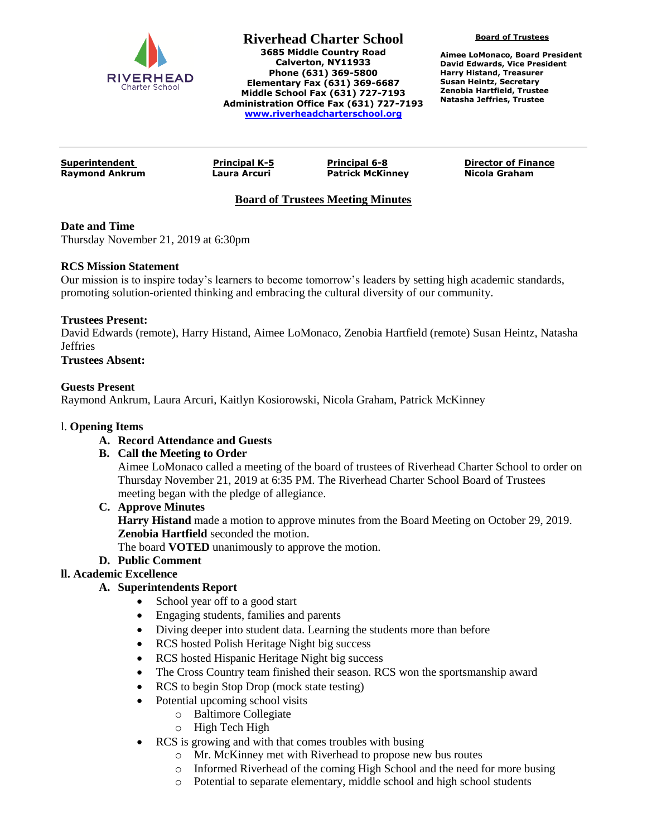

**Riverhead Charter School 3685 Middle Country Road Calverton, NY11933 Phone (631) 369-5800 Elementary Fax (631) 369-6687 Middle School Fax (631) 727-7193 Administration Office Fax (631) 727-7193 [www.riverheadcharterschool.org](http://www.riverheadcharterschool.org/)**

**Board of Trustees**

**Aimee LoMonaco, Board President David Edwards, Vice President Harry Histand, Treasurer Susan Heintz, Secretary Zenobia Hartfield, Trustee Natasha Jeffries, Trustee**

**Raymond Ankrum Laura Arcuri Patrick McKinney Nicola Graham**

**Superintendent Principal K-5 Principal 6-8 Director of Finance**

# **Board of Trustees Meeting Minutes**

# **Date and Time**

Thursday November 21, 2019 at 6:30pm

#### **RCS Mission Statement**

Our mission is to inspire today's learners to become tomorrow's leaders by setting high academic standards, promoting solution-oriented thinking and embracing the cultural diversity of our community.

# **Trustees Present:**

David Edwards (remote), Harry Histand, Aimee LoMonaco, Zenobia Hartfield (remote) Susan Heintz, Natasha Jeffries

# **Trustees Absent:**

#### **Guests Present**

Raymond Ankrum, Laura Arcuri, Kaitlyn Kosiorowski, Nicola Graham, Patrick McKinney

#### l. **Opening Items**

# **A. Record Attendance and Guests**

# **B. Call the Meeting to Order**

Aimee LoMonaco called a meeting of the board of trustees of Riverhead Charter School to order on Thursday November 21, 2019 at 6:35 PM. The Riverhead Charter School Board of Trustees meeting began with the pledge of allegiance.

# **C. Approve Minutes**

**Harry Histand** made a motion to approve minutes from the Board Meeting on October 29, 2019. **Zenobia Hartfield** seconded the motion.

The board **VOTED** unanimously to approve the motion.

# **D. Public Comment**

# **ll. Academic Excellence**

# **A. Superintendents Report**

- School year off to a good start
- Engaging students, families and parents
- Diving deeper into student data. Learning the students more than before
- RCS hosted Polish Heritage Night big success
- RCS hosted Hispanic Heritage Night big success
- The Cross Country team finished their season. RCS won the sportsmanship award
- RCS to begin Stop Drop (mock state testing)
- Potential upcoming school visits
	- o Baltimore Collegiate
	- o High Tech High
- RCS is growing and with that comes troubles with busing
	- o Mr. McKinney met with Riverhead to propose new bus routes
	- o Informed Riverhead of the coming High School and the need for more busing
	- o Potential to separate elementary, middle school and high school students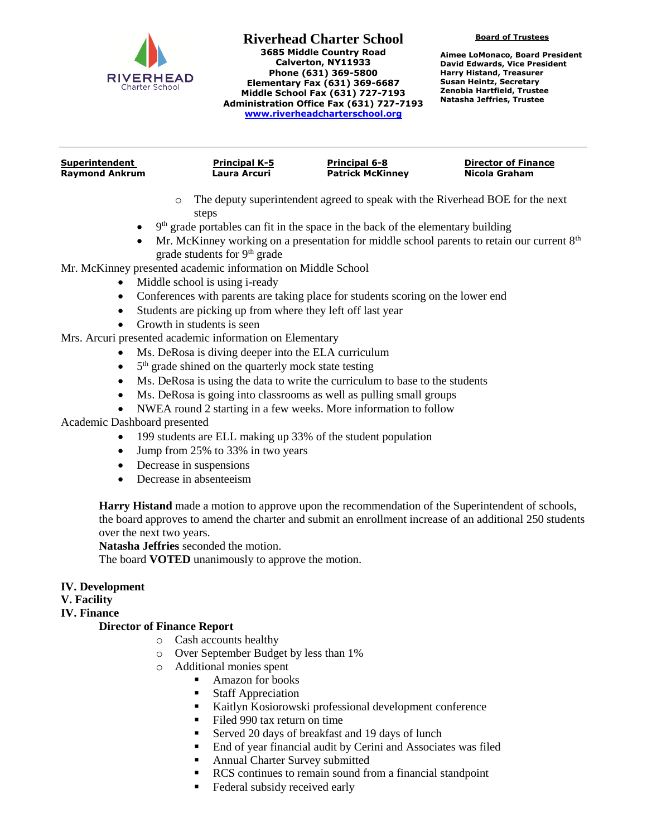

#### **Riverhead Charter School 3685 Middle Country Road Calverton, NY11933 Phone (631) 369-5800 Elementary Fax (631) 369-6687 Middle School Fax (631) 727-7193 Administration Office Fax (631) 727-7193 [www.riverheadcharterschool.org](http://www.riverheadcharterschool.org/)**

**Board of Trustees**

**Aimee LoMonaco, Board President David Edwards, Vice President Harry Histand, Treasurer Susan Heintz, Secretary Zenobia Hartfield, Trustee Natasha Jeffries, Trustee**

| <b>Superintendent</b> | <b>Principal K-5</b> | <b>Principal 6-8</b>    | <b>Director of Finance</b> |
|-----------------------|----------------------|-------------------------|----------------------------|
| <b>Raymond Ankrum</b> | Laura Arcuri         | <b>Patrick McKinney</b> | Nicola Graham              |
|                       |                      |                         |                            |

- o The deputy superintendent agreed to speak with the Riverhead BOE for the next steps
- $\bullet$  9<sup>th</sup> grade portables can fit in the space in the back of the elementary building
- $\bullet$  Mr. McKinney working on a presentation for middle school parents to retain our current  $8<sup>th</sup>$ grade students for  $9<sup>th</sup>$  grade

Mr. McKinney presented academic information on Middle School

- Middle school is using i-ready
- Conferences with parents are taking place for students scoring on the lower end
- Students are picking up from where they left off last year
- Growth in students is seen

Mrs. Arcuri presented academic information on Elementary

- Ms. DeRosa is diving deeper into the ELA curriculum
- $\bullet$  $5<sup>th</sup>$  grade shined on the quarterly mock state testing
- Ms. DeRosa is using the data to write the curriculum to base to the students
- Ms. DeRosa is going into classrooms as well as pulling small groups
- NWEA round 2 starting in a few weeks. More information to follow

Academic Dashboard presented

- 199 students are ELL making up 33% of the student population
- Jump from 25% to 33% in two years
- Decrease in suspensions
- Decrease in absenteeism

**Harry Histand** made a motion to approve upon the recommendation of the Superintendent of schools, the board approves to amend the charter and submit an enrollment increase of an additional 250 students over the next two years.

**Natasha Jeffries** seconded the motion.

The board **VOTED** unanimously to approve the motion.

# **IV. Development**

# **V. Facility**

# **IV. Finance**

# **Director of Finance Report**

- o Cash accounts healthy
- o Over September Budget by less than 1%
- o Additional monies spent
	- **Amazon for books**
	- Staff Appreciation
	- Kaitlyn Kosiorowski professional development conference
	- Filed 990 tax return on time
	- Served 20 days of breakfast and 19 days of lunch
	- End of year financial audit by Cerini and Associates was filed
	- Annual Charter Survey submitted
	- RCS continues to remain sound from a financial standpoint
	- **Federal subsidy received early**